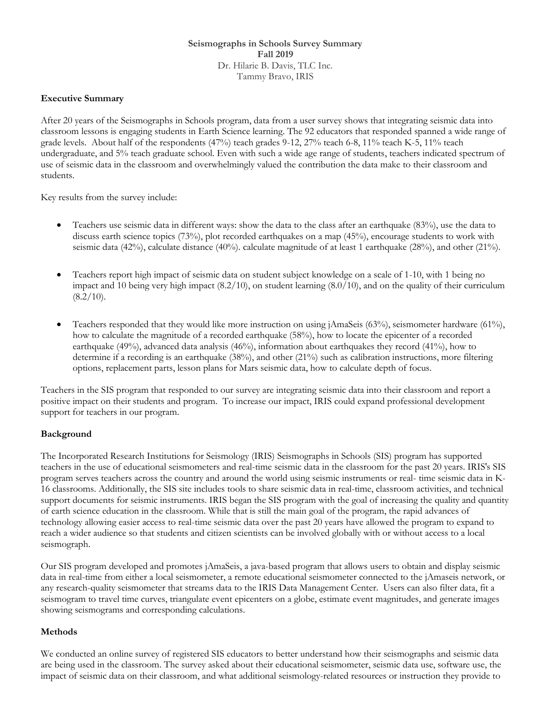**Seismographs in Schools Survey Summary Fall 2019** Dr. Hilarie B. Davis, TLC Inc. Tammy Bravo, IRIS

#### **Executive Summary**

After 20 years of the Seismographs in Schools program, data from a user survey shows that integrating seismic data into classroom lessons is engaging students in Earth Science learning. The 92 educators that responded spanned a wide range of grade levels. About half of the respondents (47%) teach grades 9-12, 27% teach 6-8, 11% teach K-5, 11% teach undergraduate, and 5% teach graduate school. Even with such a wide age range of students, teachers indicated spectrum of use of seismic data in the classroom and overwhelmingly valued the contribution the data make to their classroom and students.

Key results from the survey include:

- Teachers use seismic data in different ways: show the data to the class after an earthquake (83%), use the data to discuss earth science topics (73%), plot recorded earthquakes on a map (45%), encourage students to work with seismic data (42%), calculate distance (40%). calculate magnitude of at least 1 earthquake (28%), and other (21%).
- Teachers report high impact of seismic data on student subject knowledge on a scale of 1-10, with 1 being no impact and 10 being very high impact (8.2/10), on student learning (8.0/10), and on the quality of their curriculum  $(8.2/10).$
- Teachers responded that they would like more instruction on using jAmaSeis (63%), seismometer hardware (61%), how to calculate the magnitude of a recorded earthquake (58%), how to locate the epicenter of a recorded earthquake (49%), advanced data analysis (46%), information about earthquakes they record (41%), how to determine if a recording is an earthquake (38%), and other (21%) such as calibration instructions, more filtering options, replacement parts, lesson plans for Mars seismic data, how to calculate depth of focus.

Teachers in the SIS program that responded to our survey are integrating seismic data into their classroom and report a positive impact on their students and program. To increase our impact, IRIS could expand professional development support for teachers in our program.

#### **Background**

The Incorporated Research Institutions for Seismology (IRIS) Seismographs in Schools (SIS) program has supported teachers in the use of educational seismometers and real-time seismic data in the classroom for the past 20 years. IRIS's SIS program serves teachers across the country and around the world using seismic instruments or real- time seismic data in K-16 classrooms. Additionally, the SIS site includes tools to share seismic data in real-time, classroom activities, and technical support documents for seismic instruments. IRIS began the SIS program with the goal of increasing the quality and quantity of earth science education in the classroom. While that is still the main goal of the program, the rapid advances of technology allowing easier access to real-time seismic data over the past 20 years have allowed the program to expand to reach a wider audience so that students and citizen scientists can be involved globally with or without access to a local seismograph.

Our SIS program developed and promotes jAmaSeis, a java-based program that allows users to obtain and display seismic data in real-time from either a local seismometer, a remote educational seismometer connected to the jAmaseis network, or any research-quality seismometer that streams data to the IRIS Data Management Center. Users can also filter data, fit a seismogram to travel time curves, triangulate event epicenters on a globe, estimate event magnitudes, and generate images showing seismograms and corresponding calculations.

#### **Methods**

We conducted an online survey of registered SIS educators to better understand how their seismographs and seismic data are being used in the classroom. The survey asked about their educational seismometer, seismic data use, software use, the impact of seismic data on their classroom, and what additional seismology-related resources or instruction they provide to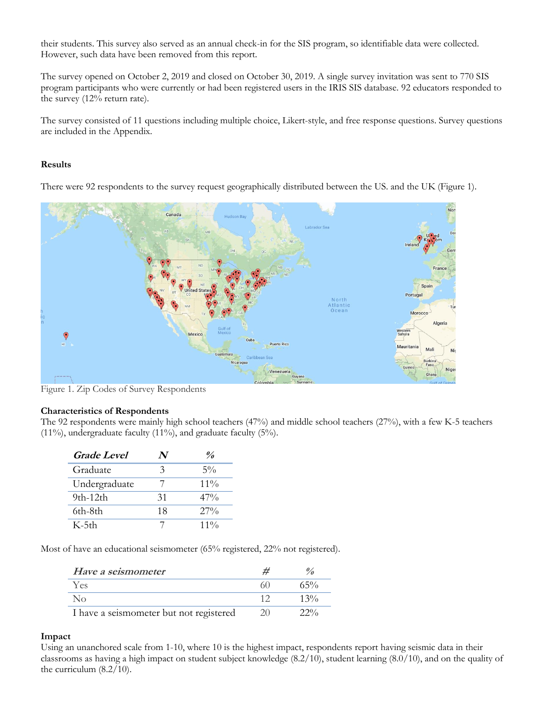their students. This survey also served as an annual check-in for the SIS program, so identifiable data were collected. However, such data have been removed from this report.

The survey opened on October 2, 2019 and closed on October 30, 2019. A single survey invitation was sent to 770 SIS program participants who were currently or had been registered users in the IRIS SIS database. 92 educators responded to the survey (12% return rate).

The survey consisted of 11 questions including multiple choice, Likert-style, and free response questions. Survey questions are included in the Appendix.

#### **Results**

There were 92 respondents to the survey request geographically distributed between the US. and the UK (Figure 1).



Figure 1. Zip Codes of Survey Respondents

#### **Characteristics of Respondents**

The 92 respondents were mainly high school teachers (47%) and middle school teachers (27%), with a few K-5 teachers  $(11\%)$ , undergraduate faculty  $(11\%)$ , and graduate faculty  $(5\%)$ .

| <i><b>Grade Level</b></i> |    | $\frac{a}{2}$ |
|---------------------------|----|---------------|
| Graduate                  | 3  | $5\%$         |
| Undergraduate             |    | $11\%$        |
| $9th-12th$                | 31 | $47\%$        |
| 6th-8th                   | 18 | $27\%$        |
| $K-5th$                   |    | $11\%$        |

Most of have an educational seismometer (65% registered, 22% not registered).

| Have a seismometer                      |        |
|-----------------------------------------|--------|
| Yes                                     | $65\%$ |
| No.                                     | $13\%$ |
| I have a seismometer but not registered | 22%    |

#### **Impact**

Using an unanchored scale from 1-10, where 10 is the highest impact, respondents report having seismic data in their classrooms as having a high impact on student subject knowledge (8.2/10), student learning (8.0/10), and on the quality of the curriculum (8.2/10).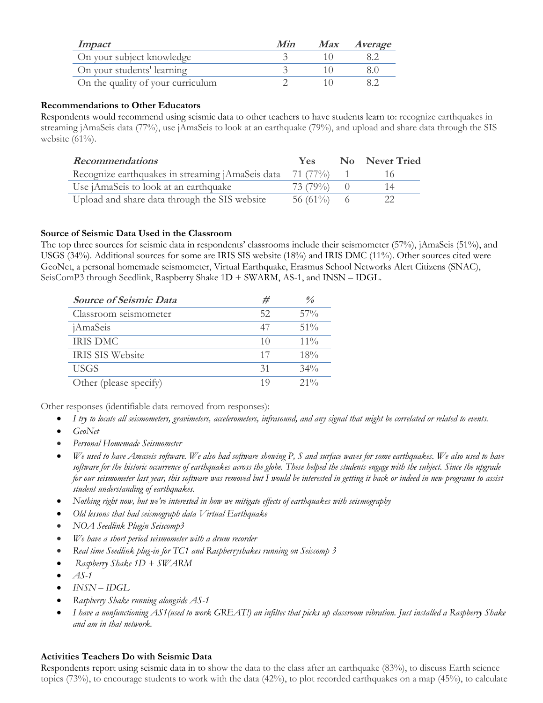| Impact                            | Min | <i>Max Average</i> |
|-----------------------------------|-----|--------------------|
| On your subject knowledge         |     |                    |
| On your students' learning        |     |                    |
| On the quality of your curriculum |     |                    |

### **Recommendations to Other Educators**

Respondents would recommend using seismic data to other teachers to have students learn to: recognize earthquakes in streaming jAmaSeis data (77%), use jAmaSeis to look at an earthquake (79%), and upload and share data through the SIS website (61%).

| <b>Recommendations</b>                           | <b>Yes</b> | No Never Tried |
|--------------------------------------------------|------------|----------------|
| Recognize earthquakes in streaming jAmaSeis data | 71 (77%)   |                |
| Use jAmaSeis to look at an earthquake            | 73 (79%)   |                |
| Upload and share data through the SIS website    | 56 (61\%)  |                |

### **Source of Seismic Data Used in the Classroom**

The top three sources for seismic data in respondents' classrooms include their seismometer (57%), jAmaSeis (51%), and USGS (34%). Additional sources for some are IRIS SIS website (18%) and IRIS DMC (11%). Other sources cited were GeoNet, a personal homemade seismometer, Virtual Earthquake, Erasmus School Networks Alert Citizens (SNAC), SeisComP3 through Seedlink, Raspberry Shake 1D + SWARM, AS-1, and INSN – IDGL.

| <b>Source of Seismic Data</b> | #  | $\frac{\theta}{\theta}$ |
|-------------------------------|----|-------------------------|
| Classroom seismometer         | 52 | $57\%$                  |
| jAmaSeis                      | 47 | $51\%$                  |
| <b>IRIS DMC</b>               | 10 | $11\%$                  |
| IRIS SIS Website              | 17 | 18%                     |
| <b>USGS</b>                   | 31 | $34\%$                  |
| Other (please specify)        | 19 | $21\%$                  |

Other responses (identifiable data removed from responses):

- *I try to locate all seismometers, gravimeters, accelerometers, infrasound, and any signal that might be correlated or related to events.*
- *GeoNet*
- *Personal Homemade Seismometer*
- *We used to have Amaseis software. We also had software showing P, S and surface waves for some earthquakes. We also used to have software for the historic occurrence of earthquakes across the globe. These helped the students engage with the subject. Since the upgrade for our seismometer last year, this software was removed but I would be interested in getting it back or indeed in new programs to assist student understanding of earthquakes.*
- *Nothing right now, but we're interested in how we mitigate effects of earthquakes with seismography*
- *Old lessons that had seismograph data Virtual Earthquake*
- *NOA Seedlink Plugin Seiscomp3*
- *We have a short period seismometer with a drum recorder*
- *Real time Seedlink plug-in for TC1 and Raspberryshakes running on Seiscomp 3*
- *Raspberry Shake 1D + SWARM*
- *AS-1*
- *INSN – IDGL*
- *Raspberry Shake running alongside AS-1*
- *I have a nonfunctioning AS1(used to work GREAT!) an infiltec that picks up classroom vibration. Just installed a Raspberry Shake and am in that network.*

#### **Activities Teachers Do with Seismic Data**

Respondents report using seismic data in to show the data to the class after an earthquake (83%), to discuss Earth science topics (73%), to encourage students to work with the data (42%), to plot recorded earthquakes on a map (45%), to calculate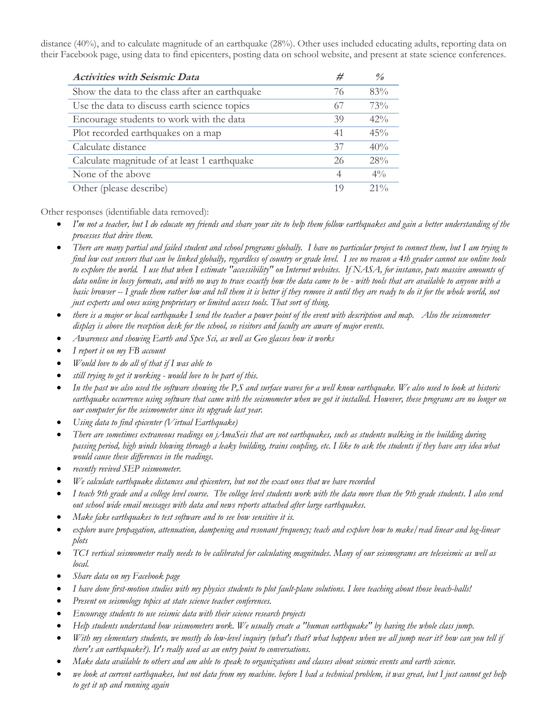distance (40%), and to calculate magnitude of an earthquake (28%). Other uses included educating adults, reporting data on their Facebook page, using data to find epicenters, posting data on school website, and present at state science conferences.

| <b>Activities with Seismic Data</b>            | #  | $\frac{\theta}{\theta}$ |
|------------------------------------------------|----|-------------------------|
| Show the data to the class after an earthquake | 76 | 83%                     |
| Use the data to discuss earth science topics   | 67 | 73%                     |
| Encourage students to work with the data       | 39 | $42\%$                  |
| Plot recorded earthquakes on a map             | 41 | 45%                     |
| Calculate distance                             | 37 | 40%                     |
| Calculate magnitude of at least 1 earthquake   | 26 | 28%                     |
| None of the above                              | 4  | $4\%$                   |
| Other (please describe)                        | 19 | $21\%$                  |

Other responses (identifiable data removed):

- *I'm not a teacher, but I do educate my friends and share your site to help them follow earthquakes and gain a better understanding of the processes that drive them.*
- *There are many partial and failed student and school programs globally. I have no particular project to connect them, but I am trying to find low cost sensors that can be linked globally, regardless of country or grade level. I see no reason a 4th grader cannot use online tools to explore the world. I use that when I estimate "accessibility" on Internet websites. If NASA, for instance, puts massive amounts of data online in lossy formats, and with no way to trace exactly how the data came to be - with tools that are available to anyone with a basic browser -- I grade them rather low and tell them it is better if they remove it until they are ready to do it for the whole world, not just experts and ones using proprietary or limited access tools. That sort of thing.*
- *there is a major or local earthquake I send the teacher a power point of the event with description and map. Also the seismometer display is above the reception desk for the school, so visitors and faculty are aware of major events.*
- *Awareness and showing Earth and Spce Sci, as well as Geo glasses how it works*
- *I report it on my FB account*
- *Would love to do all of that if I was able to*
- *still trying to get it working - would love to be part of this.*
- *In the past we also used the software showing the P,S and surface waves for a well know earthquake. We also used to look at historic earthquake occurrence using software that came with the seismometer when we got it installed. However, these programs are no longer on our computer for the seismometer since its upgrade last year.*
- *Using data to find epicenter (Virtual Earthquake)*
- *There are sometimes extraneous readings on jAmaSeis that are not earthquakes, such as students walking in the building during passing period, high winds blowing through a leaky building, trains coupling, etc. I like to ask the students if they have any idea what would cause these differences in the readings.*
- *recently revived SEP seismometer.*
- *We calculate earthquake distances and epicenters, but not the exact ones that we have recorded*
- *I teach 9th grade and a college level course. The college level students work with the data more than the 9th grade students. I also send out school wide email messages with data and news reports attached after large earthquakes.*
- *Make fake earthquakes to test software and to see how sensitive it is.*
- *explore wave propagation, attenuation, dampening and resonant frequency; teach and explore how to make/read linear and log-linear plots*
- *TC1 vertical seismometer really needs to be calibrated for calculating magnitudes. Many of our seismograms are teleseismic as well as local.*
- *Share data on my Facebook page*
- *I have done first-motion studies with my physics students to plot fault-plane solutions. I love teaching about those beach-balls!*
- *Present on seismology topics at state science teacher conferences.*
- *Encourage students to use seismic data with their science research projects*
- *Help students understand how seismometers work. We usually create a "human earthquake" by having the whole class jump.*
- *With my elementary students, we mostly do low-level inquiry (what's that? what happens when we all jump near it? how can you tell if there's an earthquake?). It's really used as an entry point to conversations.*
- *Make data available to others and am able to speak to organizations and classes about seismic events and earth science.*
- *we look at current earthquakes, but not data from my machine. before I had a technical problem, it was great, but I just cannot get help to get it up and running again*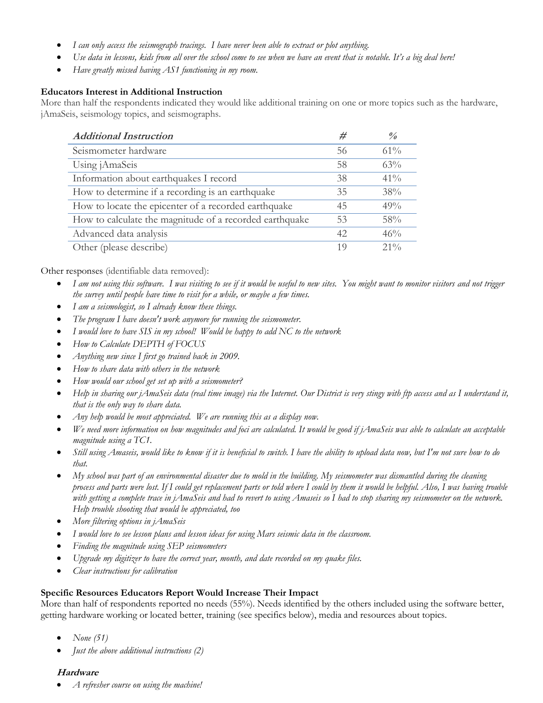- *I can only access the seismograph tracings. I have never been able to extract or plot anything.*
- *Use data in lessons, kids from all over the school come to see when we have an event that is notable. It's a big deal here!*
- *Have greatly missed having AS1 functioning in my room.*

### **Educators Interest in Additional Instruction**

More than half the respondents indicated they would like additional training on one or more topics such as the hardware, jAmaSeis, seismology topics, and seismographs.

| <b>Additional Instruction</b>                           | #  | $\frac{9}{6}$ |
|---------------------------------------------------------|----|---------------|
| Seismometer hardware                                    | 56 | $61\%$        |
| Using jAmaSeis                                          | 58 | 63%           |
| Information about earthquakes I record                  | 38 | 41%           |
| How to determine if a recording is an earthquake        | 35 | 38%           |
| How to locate the epicenter of a recorded earthquake    | 45 | 49%           |
| How to calculate the magnitude of a recorded earthquake | 53 | 58%           |
| Advanced data analysis                                  | 42 | 46%           |
| Other (please describe)                                 | 19 | $21\%$        |

Other responses (identifiable data removed):

- *I am not using this software. I was visiting to see if it would be useful to new sites. You might want to monitor visitors and not trigger the survey until people have time to visit for a while, or maybe a few times.*
- *I am a seismologist, so I already know these things.*
- *The program I have doesn't work anymore for running the seismometer.*
- *I would love to have SIS in my school! Would be happy to add NC to the network*
- *How to Calculate DEPTH of FOCUS*
- *Anything new since I first go trained back in 2009.*
- *How to share data with others in the network*
- *How would our school get set up with a seismometer?*
- *Help in sharing our jAmaSeis data (real time image) via the Internet. Our District is very stingy with ftp access and as I understand it, that is the only way to share data.*
- *Any help would be most appreciated. We are running this as a display now.*
- *We need more information on how magnitudes and foci are calculated. It would be good if jAmaSeis was able to calculate an acceptable magnitude using a TC1.*
- *Still using Amaseis, would like to know if it is beneficial to switch. I have the ability to upload data now, but I'm not sure how to do that.*
- *My school was part of an environmental disaster due to mold in the building. My seismometer was dismantled during the cleaning process and parts were lost. If I could get replacement parts or told where I could by them it would be helpful. Also, I was having trouble with getting a complete trace in jAmaSeis and had to revert to using Amaseis so I had to stop sharing my seismometer on the network. Help trouble shooting that would be appreciated, too*
- *More filtering options in jAmaSeis*
- *I would love to see lesson plans and lesson ideas for using Mars seismic data in the classroom.*
- *Finding the magnitude using SEP seismometers*
- *Upgrade my digitizer to have the correct year, month, and date recorded on my quake files.*
- *Clear instructions for calibration*

# **Specific Resources Educators Report Would Increase Their Impact**

More than half of respondents reported no needs (55%). Needs identified by the others included using the software better, getting hardware working or located better, training (see specifics below), media and resources about topics.

- *None (51)*
- *Just the above additional instructions (2)*

# **Hardware**

• *A refresher course on using the machine!*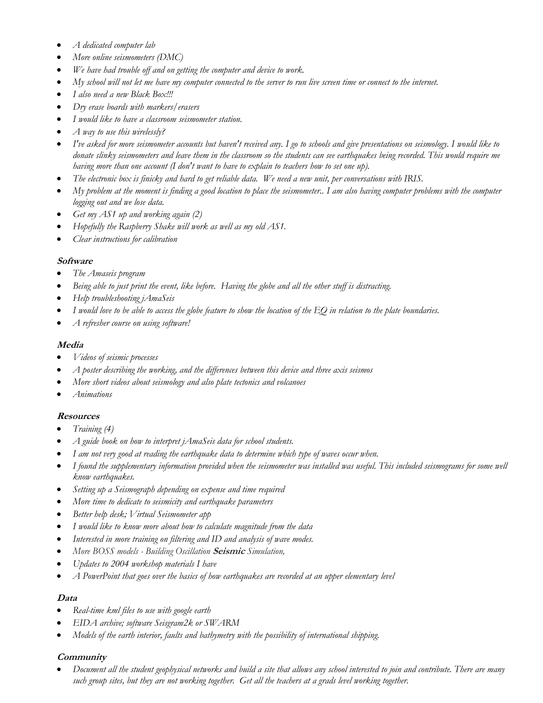- *A dedicated computer lab*
- *More online seismometers (DMC)*
- *We have had trouble off and on getting the computer and device to work.*
- *My school will not let me have my computer connected to the server to run live screen time or connect to the internet.*
- *I also need a new Black Box!!!*
- *Dry erase boards with markers/erasers*
- *I would like to have a classroom seismometer station.*
- *A way to use this wirelessly?*
- *I've asked for more seismometer accounts but haven't received any. I go to schools and give presentations on seismology. I would like to donate slinky seismometers and leave them in the classroom so the students can see earthquakes being recorded. This would require me having more than one account (I don't want to have to explain to teachers how to set one up).*
- *The electronic box is finicky and hard to get reliable data. We need a new unit, per conversations with IRIS.*
- *My problem at the moment is finding a good location to place the seismometer.. I am also having computer problems with the computer logging out and we lose data.*
- *Get my AS1 up and working again (2)*
- *Hopefully the Raspberry Shake will work as well as my old AS1.*
- *Clear instructions for calibration*

#### **Software**

- *The Amaseis program*
- *Being able to just print the event, like before. Having the globe and all the other stuff is distracting.*
- *Help troubleshooting jAmaSeis*
- *I would love to be able to access the globe feature to show the location of the EQ in relation to the plate boundaries.*
- *A refresher course on using software!*

### **Media**

- *Videos of seismic processes*
- *A poster describing the working, and the differences between this device and three axis seismos*
- *More short videos about seismology and also plate tectonics and volcanoes*
- *Animations*

#### **Resources**

- *Training (4)*
- *A guide book on how to interpret jAmaSeis data for school students.*
- *I am not very good at reading the earthquake data to determine which type of waves occur when.*
- *I found the supplementary information provided when the seismometer was installed was useful. This included seismograms for some well know earthquakes.*
- *Setting up a Seismograph depending on expense and time required*
- *More time to dedicate to seismicity and earthquake parameters*
- *Better help desk; Virtual Seismometer app*
- *I would like to know more about how to calculate magnitude from the data*
- *Interested in more training on filtering and ID and analysis of wave modes.*
- *More BOSS models - Building Oscillation* **Seismic** *Simulation,*
- *Updates to 2004 workshop materials I have*
- *A PowerPoint that goes over the basics of how earthquakes are recorded at an upper elementary level*

# **Data**

- *Real-time kml files to use with google earth*
- *EIDA archive; software Seisgram2k or SWARM*
- *Models of the earth interior, faults and bathymetry with the possibility of international shipping.*

# **Community**

• *Document all the student geophysical networks and build a site that allows any school interested to join and contribute. There are many such group sites, but they are not working together. Get all the teachers at a grads level working together.*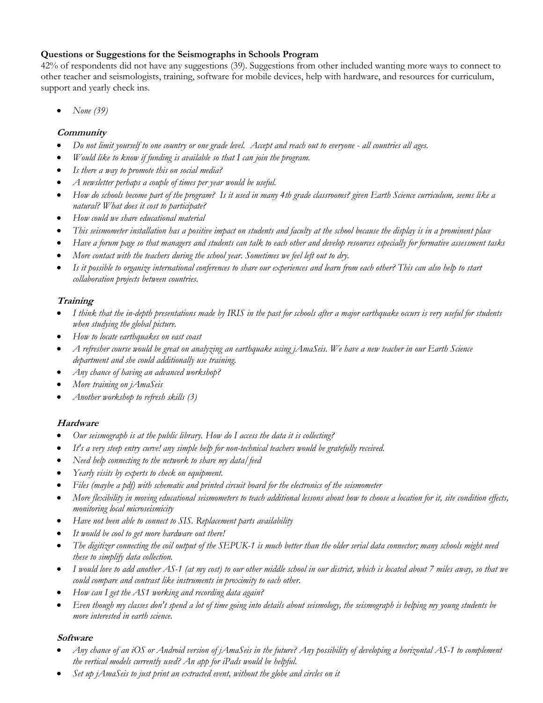# **Questions or Suggestions for the Seismographs in Schools Program**

42% of respondents did not have any suggestions (39). Suggestions from other included wanting more ways to connect to other teacher and seismologists, training, software for mobile devices, help with hardware, and resources for curriculum, support and yearly check ins.

• *None (39)*

#### **Community**

- *Do not limit yourself to one country or one grade level. Accept and reach out to everyone - all countries all ages.*
- *Would like to know if funding is available so that I can join the program.*
- *Is there a way to promote this on social media?*
- *A newsletter perhaps a couple of times per year would be useful.*
- *How do schools become part of the program? Is it used in many 4th grade classrooms? given Earth Science curriculum, seems like a natural? What does it cost to participate?*
- *How could we share educational material*
- *This seismometer installation has a positive impact on students and faculty at the school because the display is in a prominent place*
- *Have a forum page so that managers and students can talk to each other and develop resources especially for formative assessment tasks*
- *More contact with the teachers during the school year. Sometimes we feel left out to dry.*
- *Is it possible to organize international conferences to share our experiences and learn from each other? This can also help to start collaboration projects between countries.*

# **Training**

- *I think that the in-depth presentations made by IRIS in the past for schools after a major earthquake occurs is very useful for students when studying the global picture.*
- *How to locate earthquakes on east coast*
- *A refresher course would be great on analyzing an earthquake using jAmaSeis. We have a new teacher in our Earth Science department and she could additionally use training.*
- *Any chance of having an advanced workshop?*
- *More training on jAmaSeis*
- *Another workshop to refresh skills (3)*

# **Hardware**

- *Our seismograph is at the public library. How do I access the data it is collecting?*
- *It's a very steep entry curve! any simple help for non-technical teachers would be gratefully received.*
- *Need help connecting to the network to share my data/feed*
- *Yearly visits by experts to check on equipment.*
- *Files (maybe a pdf) with schematic and printed circuit board for the electronics of the seismometer*
- *More flexibility in moving educational seismometers to teach additional lessons about how to choose a location for it, site condition effects, monitoring local microseismicity*
- *Have not been able to connect to SIS. Replacement parts availability*
- *It would be cool to get more hardware out there!*
- *The digitizer connecting the coil output of the SEPUK-1 is much better than the older serial data connector; many schools might need these to simplify data collection.*
- *I would love to add another AS-1 (at my cost) to our other middle school in our district, which is located about 7 miles away, so that we could compare and contrast like instruments in proximity to each other.*
- *How can I get the AS1 working and recording data again?*
- *Even though my classes don't spend a lot of time going into details about seismology, the seismograph is helping my young students be more interested in earth science.*

# **Software**

- *Any chance of an iOS or Android version of jAmaSeis in the future? Any possibility of developing a horizontal AS-1 to complement the vertical models currently used? An app for iPads would be helpful.*
- *Set up jAmaSeis to just print an extracted event, without the globe and circles on it*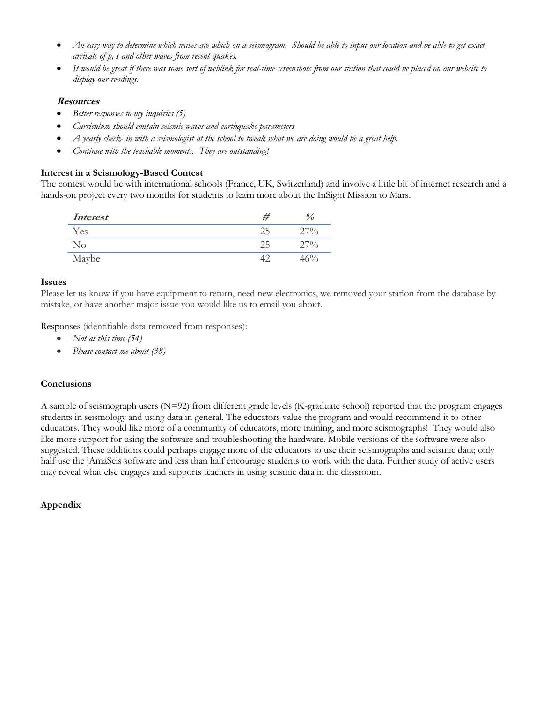- *An easy way to determine which waves are which on a seismogram. Should be able to input our location and be able to get exact arrivals of p, s and other waves from recent quakes.*
- *It would be great if there was some sort of weblink for real-time screenshots from our station that could be placed on our website to display our readings.*

#### **Resources**

- *Better responses to my inquiries (5)*
- *Curriculum should contain seismic waves and earthquake parameters*
- *A yearly check- in with a seismologist at the school to tweak what we are doing would be a great help.*
- *Continue with the teachable moments. They are outstanding!*

### **Interest in a Seismology-Based Contest**

The contest would be with international schools (France, UK, Switzerland) and involve a little bit of internet research and a hands-on project every two months for students to learn more about the InSight Mission to Mars.

| <i>Interest</i> | $v_{\rm o}$ |
|-----------------|-------------|
| Yes             | $27\%$      |
| $\rm No$        | 27%         |
| Maybe           | $.6\%$      |

#### **Issues**

Please let us know if you have equipment to return, need new electronics, we removed your station from the database by mistake, or have another major issue you would like us to email you about.

Responses (identifiable data removed from responses):

- *Not at this time (54)*
- *Please contact me about (38)*

#### **Conclusions**

A sample of seismograph users (N=92) from different grade levels (K-graduate school) reported that the program engages students in seismology and using data in general. The educators value the program and would recommend it to other educators. They would like more of a community of educators, more training, and more seismographs! They would also like more support for using the software and troubleshooting the hardware. Mobile versions of the software were also suggested. These additions could perhaps engage more of the educators to use their seismographs and seismic data; only half use the jAmaSeis software and less than half encourage students to work with the data. Further study of active users may reveal what else engages and supports teachers in using seismic data in the classroom.

# **Appendix**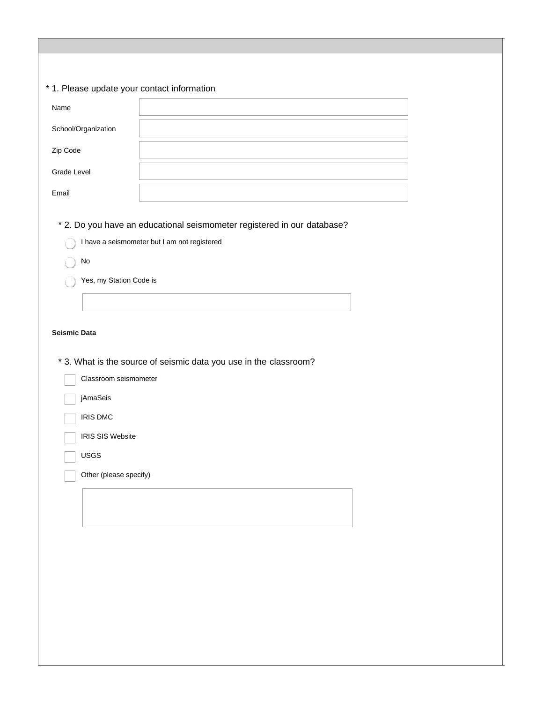# \* 1. Please update your contact information

| Name                                                                                                                     |                                                                                                                         |  |
|--------------------------------------------------------------------------------------------------------------------------|-------------------------------------------------------------------------------------------------------------------------|--|
| School/Organization                                                                                                      |                                                                                                                         |  |
| Zip Code                                                                                                                 |                                                                                                                         |  |
| Grade Level                                                                                                              |                                                                                                                         |  |
| Email                                                                                                                    |                                                                                                                         |  |
| No<br>Yes, my Station Code is<br><b>Seismic Data</b>                                                                     | * 2. Do you have an educational seismometer registered in our database?<br>I have a seismometer but I am not registered |  |
| Classroom seismometer<br>jAmaSeis<br><b>IRIS DMC</b><br><b>IRIS SIS Website</b><br><b>USGS</b><br>Other (please specify) | * 3. What is the source of seismic data you use in the classroom?                                                       |  |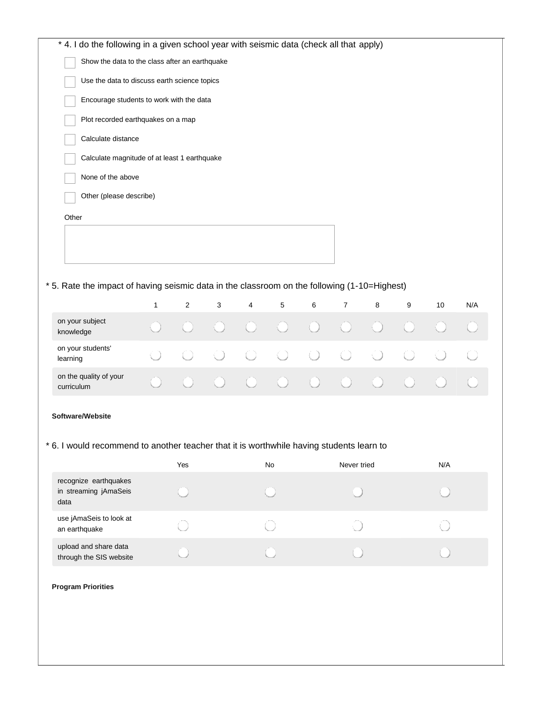| * 4. I do the following in a given school year with seismic data (check all that apply)      |              |                |   |   |    |   |                |   |   |     |     |
|----------------------------------------------------------------------------------------------|--------------|----------------|---|---|----|---|----------------|---|---|-----|-----|
| Show the data to the class after an earthquake                                               |              |                |   |   |    |   |                |   |   |     |     |
| Use the data to discuss earth science topics                                                 |              |                |   |   |    |   |                |   |   |     |     |
| Encourage students to work with the data                                                     |              |                |   |   |    |   |                |   |   |     |     |
| Plot recorded earthquakes on a map                                                           |              |                |   |   |    |   |                |   |   |     |     |
| Calculate distance                                                                           |              |                |   |   |    |   |                |   |   |     |     |
| Calculate magnitude of at least 1 earthquake                                                 |              |                |   |   |    |   |                |   |   |     |     |
| None of the above                                                                            |              |                |   |   |    |   |                |   |   |     |     |
| Other (please describe)                                                                      |              |                |   |   |    |   |                |   |   |     |     |
| Other                                                                                        |              |                |   |   |    |   |                |   |   |     |     |
|                                                                                              |              |                |   |   |    |   |                |   |   |     |     |
|                                                                                              |              |                |   |   |    |   |                |   |   |     |     |
|                                                                                              |              |                |   |   |    |   |                |   |   |     |     |
| * 5. Rate the impact of having seismic data in the classroom on the following (1-10=Highest) |              |                |   |   |    |   |                |   |   |     |     |
|                                                                                              | $\mathbf{1}$ | $\overline{2}$ | 3 | 4 | 5  | 6 | $\overline{7}$ | 8 | 9 | 10  | N/A |
| on your subject<br>knowledge                                                                 |              |                |   |   |    |   |                |   |   |     |     |
| on your students'<br>learning                                                                |              |                |   |   |    |   |                |   |   |     |     |
| on the quality of your<br>curriculum                                                         |              |                |   |   |    |   |                |   |   |     |     |
| Software/Website                                                                             |              |                |   |   |    |   |                |   |   |     |     |
|                                                                                              |              |                |   |   |    |   |                |   |   |     |     |
| * 6. I would recommend to another teacher that it is worthwhile having students learn to     |              |                |   |   |    |   |                |   |   |     |     |
|                                                                                              |              | Yes            |   |   | No |   | Never tried    |   |   | N/A |     |
| recognize earthquakes<br>in streaming jAmaSeis<br>data                                       |              |                |   |   |    |   |                |   |   |     |     |
| use jAmaSeis to look at<br>an earthquake                                                     |              |                |   |   |    |   |                |   |   |     |     |
| upload and share data<br>through the SIS website                                             |              |                |   |   |    |   |                |   |   |     |     |
| <b>Program Priorities</b>                                                                    |              |                |   |   |    |   |                |   |   |     |     |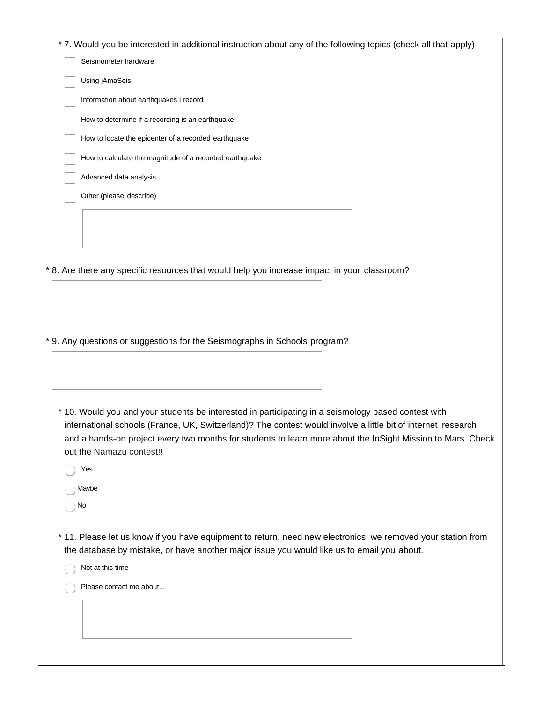|      | Using jAmaSeis                                                                                                                          |
|------|-----------------------------------------------------------------------------------------------------------------------------------------|
|      | Information about earthquakes I record                                                                                                  |
|      | How to determine if a recording is an earthquake                                                                                        |
|      | How to locate the epicenter of a recorded earthquake                                                                                    |
|      | How to calculate the magnitude of a recorded earthquake                                                                                 |
|      | Advanced data analysis                                                                                                                  |
|      | Other (please describe)                                                                                                                 |
|      |                                                                                                                                         |
|      |                                                                                                                                         |
|      |                                                                                                                                         |
|      | * 8. Are there any specific resources that would help you increase impact in your classroom?                                            |
|      |                                                                                                                                         |
|      |                                                                                                                                         |
|      |                                                                                                                                         |
|      |                                                                                                                                         |
|      |                                                                                                                                         |
|      |                                                                                                                                         |
|      | * 9. Any questions or suggestions for the Seismographs in Schools program?                                                              |
|      |                                                                                                                                         |
|      |                                                                                                                                         |
|      |                                                                                                                                         |
|      |                                                                                                                                         |
|      | * 10. Would you and your students be interested in participating in a seismology based contest with                                     |
|      | international schools (France, UK, Switzerland)? The contest would involve a little bit of internet research                            |
|      |                                                                                                                                         |
|      | and a hands-on project every two months for students to learn more about the InSight Mission to Mars. Check<br>out the Namazu contest!! |
|      | Yes                                                                                                                                     |
| ) No | ∣ Maybe                                                                                                                                 |